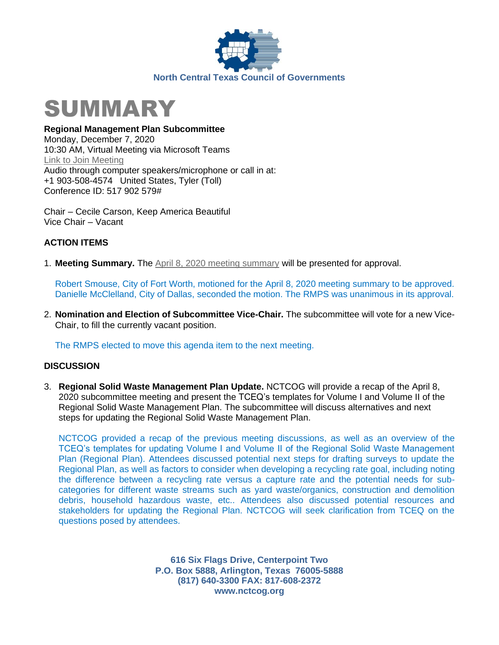



**Regional Management Plan Subcommittee** Monday, December 7, 2020 10:30 AM, Virtual Meeting via Microsoft Teams [Link to Join Meeting](https://teams.microsoft.com/l/meetup-join/19%3ameeting_ODVkNzVjNDAtOWYxNS00NDgxLTgyMDYtNDJmNjc3NGNmMzYw%40thread.v2/0?context=%7b%22Tid%22%3a%222f5e7ebc-22b0-4fbe-934c-aabddb4e29b1%22%2c%22Oid%22%3a%22cab28b78-d671-4384-9c8e-6035f7c46b7d%22%7d) Audio through computer speakers/microphone or call in at: +1 903-508-4574 United States, Tyler (Toll) Conference ID: 517 902 579#

Chair – Cecile Carson, Keep America Beautiful Vice Chair – Vacant

## **ACTION ITEMS**

1. **Meeting Summary.** The April 8, 2020 [meeting summary](https://nctcog.org/nctcg/media/Environment-and-Development/Committee%20Documents/RCC-Regional%20Management%20Plan%20Sub/FY2020/2020-04-08-RMPS-Summary.pdf?ext=.pdf) will be presented for approval.

Robert Smouse, City of Fort Worth, motioned for the April 8, 2020 meeting summary to be approved. Danielle McClelland, City of Dallas, seconded the motion. The RMPS was unanimous in its approval.

2. **Nomination and Election of Subcommittee Vice-Chair.** The subcommittee will vote for a new Vice-Chair, to fill the currently vacant position.

The RMPS elected to move this agenda item to the next meeting.

## **DISCUSSION**

3. **Regional Solid Waste Management Plan Update.** NCTCOG will provide a recap of the April 8, 2020 subcommittee meeting and present the TCEQ's templates for Volume I and Volume II of the Regional Solid Waste Management Plan. The subcommittee will discuss alternatives and next steps for updating the Regional Solid Waste Management Plan.

NCTCOG provided a recap of the previous meeting discussions, as well as an overview of the TCEQ's templates for updating Volume I and Volume II of the Regional Solid Waste Management Plan (Regional Plan). Attendees discussed potential next steps for drafting surveys to update the Regional Plan, as well as factors to consider when developing a recycling rate goal, including noting the difference between a recycling rate versus a capture rate and the potential needs for subcategories for different waste streams such as yard waste/organics, construction and demolition debris, household hazardous waste, etc.. Attendees also discussed potential resources and stakeholders for updating the Regional Plan. NCTCOG will seek clarification from TCEQ on the questions posed by attendees.

> **616 Six Flags Drive, Centerpoint Two P.O. Box 5888, Arlington, Texas 76005-5888 (817) 640-3300 FAX: 817-608-2372 www.nctcog.org**